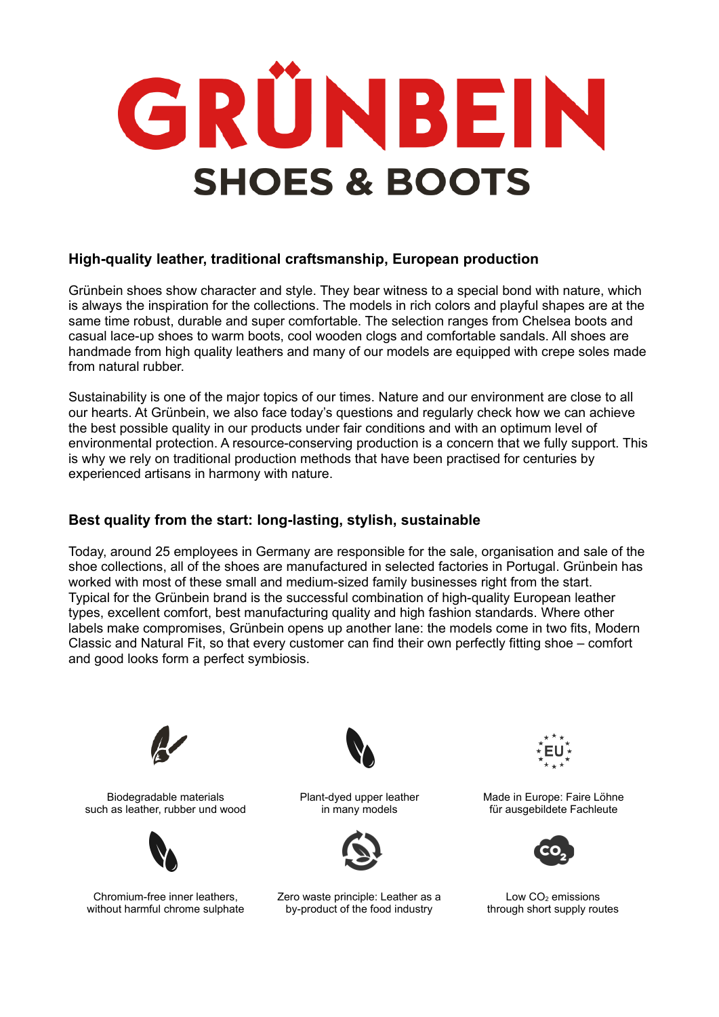# GRÜNBEIN **SHOES & BOOTS**

# **High-quality leather, traditional craftsmanship, European production**

Grünbein shoes show character and style. They bear witness to a special bond with nature, which is always the inspiration for the collections. The models in rich colors and playful shapes are at the same time robust, durable and super comfortable. The selection ranges from Chelsea boots and casual lace-up shoes to warm boots, cool wooden clogs and comfortable sandals. All shoes are handmade from high quality leathers and many of our models are equipped with crepe soles made from natural rubber.

Sustainability is one of the major topics of our times. Nature and our environment are close to all our hearts. At Grünbein, we also face today's questions and regularly check how we can achieve the best possible quality in our products under fair conditions and with an optimum level of environmental protection. A resource-conserving production is a concern that we fully support. This is why we rely on traditional production methods that have been practised for centuries by experienced artisans in harmony with nature.

# **Best quality from the start: long-lasting, stylish, sustainable**

Today, around 25 employees in Germany are responsible for the sale, organisation and sale of the shoe collections, all of the shoes are manufactured in selected factories in Portugal. Grünbein has worked with most of these small and medium-sized family businesses right from the start. Typical for the Grünbein brand is the successful combination of high-quality European leather types, excellent comfort, best manufacturing quality and high fashion standards. Where other labels make compromises, Grünbein opens up another lane: the models come in two fits, Modern Classic and Natural Fit, so that every customer can find their own perfectly fitting shoe – comfort and good looks form a perfect symbiosis.



Biodegradable materials such as leather, rubber und wood



Chromium-free inner leathers, without harmful chrome sulphate



Plant-dyed upper leather in many models



Zero waste principle: Leather as a by-product of the food industry



Made in Europe: Faire Löhne für ausgebildete Fachleute



Low  $CO<sub>2</sub>$  emissions through short supply routes